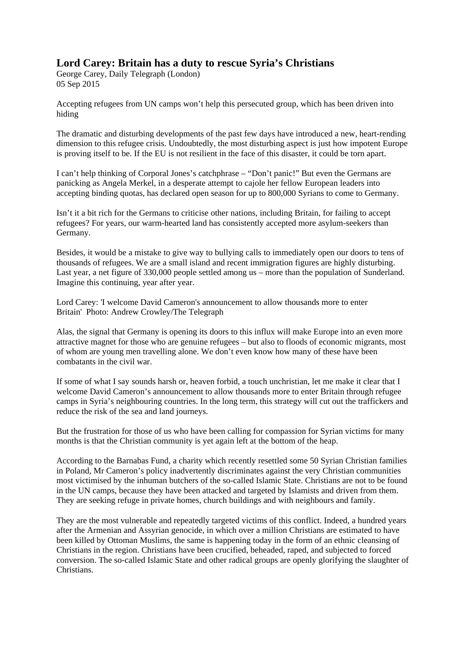## **Lord Carey: Britain has a duty to rescue Syria's Christians**

George Carey, Daily Telegraph (London) 05 Sep 2015

Accepting refugees from UN camps won't help this persecuted group, which has been driven into hiding

The dramatic and disturbing developments of the past few days have introduced a new, heart-rending dimension to this refugee crisis. Undoubtedly, the most disturbing aspect is just how impotent Europe is proving itself to be. If the EU is not resilient in the face of this disaster, it could be torn apart.

I can't help thinking of Corporal Jones's catchphrase – "Don't panic!" But even the Germans are panicking as Angela Merkel, in a desperate attempt to cajole her fellow European leaders into accepting binding quotas, has declared open season for up to 800,000 Syrians to come to Germany.

Isn't it a bit rich for the Germans to criticise other nations, including Britain, for failing to accept refugees? For years, our warm-hearted land has consistently accepted more asylum-seekers than Germany.

Besides, it would be a mistake to give way to bullying calls to immediately open our doors to tens of thousands of refugees. We are a small island and recent immigration figures are highly disturbing. Last year, a net figure of 330,000 people settled among us – more than the population of Sunderland. Imagine this continuing, year after year.

Lord Carey: 'I welcome David Cameron's announcement to allow thousands more to enter Britain' Photo: Andrew Crowley/The Telegraph

Alas, the signal that Germany is opening its doors to this influx will make Europe into an even more attractive magnet for those who are genuine refugees – but also to floods of economic migrants, most of whom are young men travelling alone. We don't even know how many of these have been combatants in the civil war.

If some of what I say sounds harsh or, heaven forbid, a touch unchristian, let me make it clear that I welcome David Cameron's announcement to allow thousands more to enter Britain through refugee camps in Syria's neighbouring countries. In the long term, this strategy will cut out the traffickers and reduce the risk of the sea and land journeys.

But the frustration for those of us who have been calling for compassion for Syrian victims for many months is that the Christian community is yet again left at the bottom of the heap.

According to the Barnabas Fund, a charity which recently resettled some 50 Syrian Christian families in Poland, Mr Cameron's policy inadvertently discriminates against the very Christian communities most victimised by the inhuman butchers of the so-called Islamic State. Christians are not to be found in the UN camps, because they have been attacked and targeted by Islamists and driven from them. They are seeking refuge in private homes, church buildings and with neighbours and family.

They are the most vulnerable and repeatedly targeted victims of this conflict. Indeed, a hundred years after the Armenian and Assyrian genocide, in which over a million Christians are estimated to have been killed by Ottoman Muslims, the same is happening today in the form of an ethnic cleansing of Christians in the region. Christians have been crucified, beheaded, raped, and subjected to forced conversion. The so-called Islamic State and other radical groups are openly glorifying the slaughter of Christians.